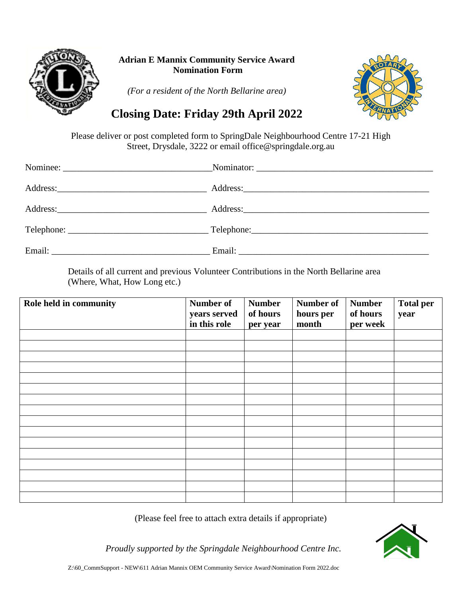

## **Adrian E Mannix Community Service Award Nomination Form**

*(For a resident of the North Bellarine area)*



## **Closing Date: Friday 29th April 2022**

Please deliver or post completed form to SpringDale Neighbourhood Centre 17-21 High Street, Drysdale, 3222 or email office@springdale.org.au

| Email: The contract of the contract of the contract of the contract of the contract of the contract of the contract of the contract of the contract of the contract of the contract of the contract of the contract of the con |  |
|--------------------------------------------------------------------------------------------------------------------------------------------------------------------------------------------------------------------------------|--|

Details of all current and previous Volunteer Contributions in the North Bellarine area (Where, What, How Long etc.)

| Role held in community | <b>Number of</b><br>years served<br>in this role | <b>Number</b><br>of hours<br>per year | Number of<br>hours per<br>month | <b>Number</b><br>of hours<br>per week | <b>Total per</b><br>year |
|------------------------|--------------------------------------------------|---------------------------------------|---------------------------------|---------------------------------------|--------------------------|
|                        |                                                  |                                       |                                 |                                       |                          |
|                        |                                                  |                                       |                                 |                                       |                          |
|                        |                                                  |                                       |                                 |                                       |                          |
|                        |                                                  |                                       |                                 |                                       |                          |
|                        |                                                  |                                       |                                 |                                       |                          |
|                        |                                                  |                                       |                                 |                                       |                          |
|                        |                                                  |                                       |                                 |                                       |                          |
|                        |                                                  |                                       |                                 |                                       |                          |
|                        |                                                  |                                       |                                 |                                       |                          |
|                        |                                                  |                                       |                                 |                                       |                          |
|                        |                                                  |                                       |                                 |                                       |                          |
|                        |                                                  |                                       |                                 |                                       |                          |
|                        |                                                  |                                       |                                 |                                       |                          |
|                        |                                                  |                                       |                                 |                                       |                          |
|                        |                                                  |                                       |                                 |                                       |                          |
|                        |                                                  |                                       |                                 |                                       |                          |

(Please feel free to attach extra details if appropriate)



*Proudly supported by the Springdale Neighbourhood Centre Inc.*